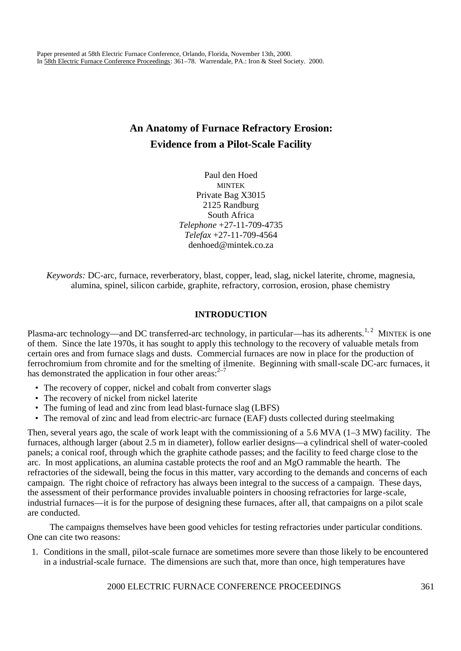# **An Anatomy of Furnace Refractory Erosion: Evidence from a Pilot-Scale Facility**

Paul den Hoed MINTEK Private Bag X3015 2125 Randburg South Africa *Telephone* +27-11-709-4735 *Telefax* +27-11-709-4564 denhoed@mintek.co.za

*Keywords:* DC-arc, furnace, reverberatory, blast, copper, lead, slag, nickel laterite, chrome, magnesia, alumina, spinel, silicon carbide, graphite, refractory, corrosion, erosion, phase chemistry

# **INTRODUCTION**

Plasma-arc technology—and DC transferred-arc technology, in particular—has its adherents.<sup>1,2</sup> MINTEK is one of them. Since the late 1970s, it has sought to apply this technology to the recovery of valuable metals from certain ores and from furnace slags and dusts. Commercial furnaces are now in place for the production of ferrochromium from chromite and for the smelting of ilmenite. Beginning with small-scale DC-arc furnaces, it has demonstrated the application in four other areas: $2^{-7}$ 

- The recovery of copper, nickel and cobalt from converter slags
- The recovery of nickel from nickel laterite
- The fuming of lead and zinc from lead blast-furnace slag (LBFS)
- The removal of zinc and lead from electric-arc furnace (EAF) dusts collected during steelmaking

Then, several years ago, the scale of work leapt with the commissioning of a 5.6 MVA (1–3 MW) facility. The furnaces, although larger (about 2.5 m in diameter), follow earlier designs—a cylindrical shell of water-cooled panels; a conical roof, through which the graphite cathode passes; and the facility to feed charge close to the arc. In most applications, an alumina castable protects the roof and an MgO rammable the hearth. The refractories of the sidewall, being the focus in this matter, vary according to the demands and concerns of each campaign. The right choice of refractory has always been integral to the success of a campaign. These days, the assessment of their performance provides invaluable pointers in choosing refractories for large-scale, industrial furnaces—it is for the purpose of designing these furnaces, after all, that campaigns on a pilot scale are conducted.

The campaigns themselves have been good vehicles for testing refractories under particular conditions. One can cite two reasons:

1. Conditions in the small, pilot-scale furnace are sometimes more severe than those likely to be encountered in a industrial-scale furnace. The dimensions are such that, more than once, high temperatures have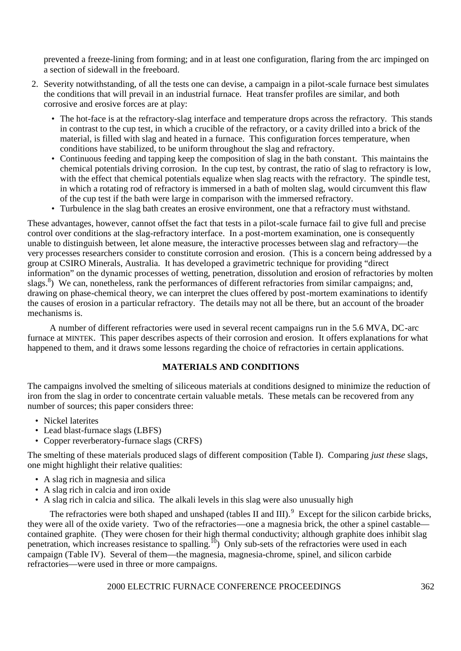prevented a freeze-lining from forming; and in at least one configuration, flaring from the arc impinged on a section of sidewall in the freeboard.

- 2. Severity notwithstanding, of all the tests one can devise, a campaign in a pilot-scale furnace best simulates the conditions that will prevail in an industrial furnace. Heat transfer profiles are similar, and both corrosive and erosive forces are at play:
	- The hot-face is at the refractory-slag interface and temperature drops across the refractory. This stands in contrast to the cup test, in which a crucible of the refractory, or a cavity drilled into a brick of the material, is filled with slag and heated in a furnace. This configuration forces temperature, when conditions have stabilized, to be uniform throughout the slag and refractory.
	- Continuous feeding and tapping keep the composition of slag in the bath constant. This maintains the chemical potentials driving corrosion. In the cup test, by contrast, the ratio of slag to refractory is low, with the effect that chemical potentials equalize when slag reacts with the refractory. The spindle test, in which a rotating rod of refractory is immersed in a bath of molten slag, would circumvent this flaw of the cup test if the bath were large in comparison with the immersed refractory.
	- Turbulence in the slag bath creates an erosive environment, one that a refractory must withstand.

These advantages, however, cannot offset the fact that tests in a pilot-scale furnace fail to give full and precise control over conditions at the slag-refractory interface. In a post-mortem examination, one is consequently unable to distinguish between, let alone measure, the interactive processes between slag and refractory—the very processes researchers consider to constitute corrosion and erosion. (This is a concern being addressed by a group at CSIRO Minerals, Australia. It has developed a gravimetric technique for providing "direct information" on the dynamic processes of wetting, penetration, dissolution and erosion of refractories by molten slags.<sup>8</sup>) We can, nonetheless, rank the performances of different refractories from similar campaigns; and, drawing on phase-chemical theory, we can interpret the clues offered by post-mortem examinations to identify the causes of erosion in a particular refractory. The details may not all be there, but an account of the broader mechanisms is.

A number of different refractories were used in several recent campaigns run in the 5.6 MVA, DC-arc furnace at MINTEK. This paper describes aspects of their corrosion and erosion. It offers explanations for what happened to them, and it draws some lessons regarding the choice of refractories in certain applications.

# **MATERIALS AND CONDITIONS**

The campaigns involved the smelting of siliceous materials at conditions designed to minimize the reduction of iron from the slag in order to concentrate certain valuable metals. These metals can be recovered from any number of sources; this paper considers three:

- Nickel laterites
- Lead blast-furnace slags (LBFS)
- Copper reverberatory-furnace slags (CRFS)

The smelting of these materials produced slags of different composition (Table I). Comparing *just these* slags, one might highlight their relative qualities:

- A slag rich in magnesia and silica
- A slag rich in calcia and iron oxide
- A slag rich in calcia and silica. The alkali levels in this slag were also unusually high

The refractories were both shaped and unshaped (tables II and III).  $9$  Except for the silicon carbide bricks, they were all of the oxide variety. Two of the refractories—one a magnesia brick, the other a spinel castable contained graphite. (They were chosen for their high thermal conductivity; although graphite does inhibit slag penetration, which increases resistance to spalling.<sup>10</sup>) Only sub-sets of the refractories were used in each campaign (Table IV). Several of them—the magnesia, magnesia-chrome, spinel, and silicon carbide refractories—were used in three or more campaigns.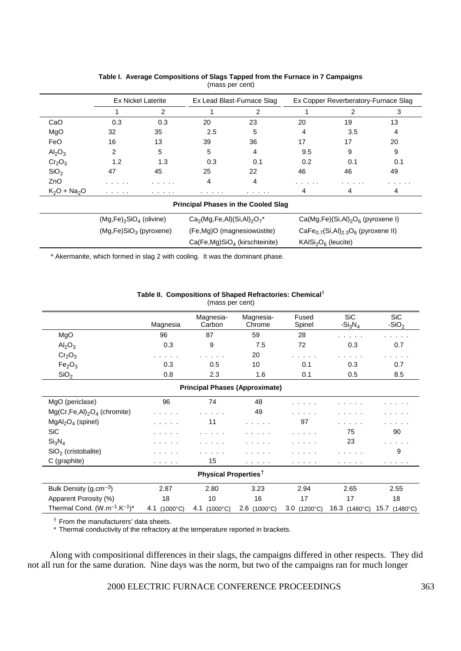|                                | <b>Ex Nickel Laterite</b> |     | Ex Lead Blast-Furnace Slag |     | Ex Copper Reverberatory-Furnace Slag |     |     |
|--------------------------------|---------------------------|-----|----------------------------|-----|--------------------------------------|-----|-----|
|                                |                           | っ   |                            | ົ   |                                      |     |     |
| CaO                            | 0.3                       | 0.3 | 20                         | 23  | 20                                   | 19  | 13  |
| MgO                            | 32                        | 35  | 2.5                        | 5   |                                      | 3.5 | 4   |
| FeO                            | 16                        | 13  | 39                         | 36  | 17                                   | 17  | 20  |
| $\text{Al}_2\text{O}_3$        | 2                         | 5   | 5                          | 4   | 9.5                                  | 9   | 9   |
| Cr <sub>2</sub> O <sub>3</sub> | 1.2                       | 1.3 | 0.3                        | 0.1 | 0.2                                  | 0.1 | 0.1 |
| SiO <sub>2</sub>               | 47                        | 45  | 25                         | 22  | 46                                   | 46  | 49  |
| ZnO                            | .                         | .   |                            | 4   | .                                    | .   | .   |
| $K_2O + Na_2O$                 | .                         | .   | .                          | .   |                                      |     |     |

| Table I. Average Compositions of Slags Tapped from the Furnace in 7 Campaigns |
|-------------------------------------------------------------------------------|
| (mass per cent)                                                               |

| $(Mg,Fe)_2SiO_4$ (olivine) | $Ca2(Mg,Fe,Al)(Si,Al)2O7*$       | $Ca(Mg,Fe)(Si,Al)2O6$ (pyroxene I)                          |
|----------------------------|----------------------------------|-------------------------------------------------------------|
| $(Mg,Fe)SiO3$ (pyroxene)   | (Fe,Mg)O (magnesiowüstite)       | CaFe $_{0.7}$ (Si,Al) $_{2.3}$ O <sub>6</sub> (pyroxene II) |
|                            | $Ca(Fe, Mg)SiOA$ (kirschteinite) | $KAISi2O6$ (leucite)                                        |

\* Akermanite, which formed in slag 2 with cooling. It was the dominant phase.

|                                                      |                          | (mass per cent)                       |                           |                              |                          |                       |
|------------------------------------------------------|--------------------------|---------------------------------------|---------------------------|------------------------------|--------------------------|-----------------------|
|                                                      | Magnesia                 | Magnesia-<br>Carbon                   | Magnesia-<br>Chrome       | Fused<br>Spinel              | <b>SiC</b><br>$-Si_3N_4$ | <b>SiC</b><br>$-SiO2$ |
| MgO                                                  | 96                       | 87                                    | 59                        | 28                           |                          |                       |
| Al <sub>2</sub> O <sub>3</sub>                       | 0.3                      | 9                                     | 7.5                       | 72                           | 0.3                      | 0.7                   |
| Cr <sub>2</sub> O <sub>3</sub>                       |                          |                                       | 20                        |                              |                          |                       |
| Fe <sub>2</sub> O <sub>3</sub>                       | 0.3                      | 0.5                                   | 10                        | 0.1                          | 0.3                      | 0.7                   |
| SiO <sub>2</sub>                                     | 0.8                      | 2.3                                   | 1.6                       | 0.1                          | 0.5                      | 8.5                   |
|                                                      |                          | <b>Principal Phases (Approximate)</b> |                           |                              |                          |                       |
| MgO (periclase)                                      | 96                       | 74                                    | 48                        |                              |                          |                       |
| $Mg(Cr,Fe,Al)2O4$ (chromite)                         | .                        |                                       | 49                        |                              |                          |                       |
| $MgAl2O4$ (spinel)                                   |                          | 11                                    | .                         | 97                           | $\cdots$                 |                       |
| SiC                                                  | .                        |                                       |                           | $\sim$ 100 $\sim$ 100 $\sim$ | 75                       | 90                    |
| Si <sub>3</sub> N <sub>4</sub>                       | .                        |                                       |                           |                              | 23                       |                       |
| $SiO2$ (cristobalite)                                |                          |                                       |                           |                              |                          | 9                     |
| C (graphite)                                         | .                        | 15                                    | <b>Contract Contract</b>  | .                            | .                        | .                     |
|                                                      |                          | Physical Properties <sup>†</sup>      |                           |                              |                          |                       |
| Bulk Density $(g.cm^{-3})$                           | 2.87                     | 2.80                                  | 3.23                      | 2.94                         | 2.65                     | 2.55                  |
| Apparent Porosity (%)                                | 18                       | 10                                    | 16                        | 17                           | 17                       | 18                    |
| Thermal Cond. (W.m <sup>-1</sup> .K <sup>-1</sup> )* | $(1000^{\circ}C)$<br>4.1 | $(1000^{\circ}C)$<br>4.1              | $2.6$ (1000 $^{\circ}$ C) | $3.0$ (1200 $^{\circ}$ C)    | 16.3 (1480°C)            | 15.7 (1480°C)         |

**Table II. Compositions of Shaped Refractories: Chemical**†

† From the manufacturers' data sheets.

\* Thermal conductivity of the refractory at the temperature reported in brackets.

Along with compositional differences in their slags, the campaigns differed in other respects. They did not all run for the same duration. Nine days was the norm, but two of the campaigns ran for much longer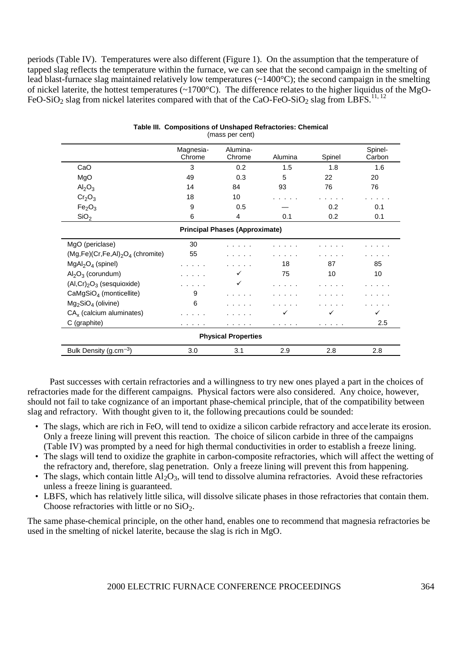periods (Table IV). Temperatures were also different (Figure 1). On the assumption that the temperature of tapped slag reflects the temperature within the furnace, we can see that the second campaign in the smelting of lead blast-furnace slag maintained relatively low temperatures (~1400°C); the second campaign in the smelting of nickel laterite, the hottest temperatures (~1700°C). The difference relates to the higher liquidus of the MgO-FeO-SiO<sub>2</sub> slag from nickel laterites compared with that of the CaO-FeO-SiO<sub>2</sub> slag from LBFS.<sup>11, 12</sup>

|                                       | Magnesia- | Alumina- |         |        | Spinel- |  |  |
|---------------------------------------|-----------|----------|---------|--------|---------|--|--|
|                                       | Chrome    | Chrome   | Alumina | Spinel | Carbon  |  |  |
| CaO                                   | 3         | 0.2      | 1.5     | 1.8    | 1.6     |  |  |
| MgO                                   | 49        | 0.3      | 5       | 22     | 20      |  |  |
| Al <sub>2</sub> O <sub>3</sub>        | 14        | 84       | 93      | 76     | 76      |  |  |
| Cr <sub>2</sub> O <sub>3</sub>        | 18        | 10       |         |        |         |  |  |
| Fe <sub>2</sub> O <sub>3</sub>        | 9         | 0.5      |         | 0.2    | 0.1     |  |  |
| SiO <sub>2</sub>                      | 6         | 4        | 0.1     | 0.2    | 0.1     |  |  |
| <b>Principal Phases (Approximate)</b> |           |          |         |        |         |  |  |
| MgO (periclase)                       | 30        |          |         |        |         |  |  |
| $(Mg,Fe)(Cr,Fe,Al)2O4$ (chromite)     | 55        |          |         |        |         |  |  |
| $MgAl2O4$ (spinel)                    |           |          | 18      | 87     | 85      |  |  |
| $\text{Al}_2\text{O}_3$ (corundum)    |           | ✓        | 75      | 10     | 10      |  |  |
| $(Al, Cr)2O3$ (sesquioxide)           |           | ✓        | .       |        |         |  |  |
| CaMgSiO <sub>4</sub> (monticellite)   | 9         |          |         |        |         |  |  |
| $Mg2SiO4$ (olivine)                   | 6         |          |         |        |         |  |  |
| $CAx$ (calcium aluminates)            |           |          | ✓       | ✓      | ✓       |  |  |
| C (graphite)                          |           |          |         | .      | 2.5     |  |  |
| <b>Physical Properties</b>            |           |          |         |        |         |  |  |
| Bulk Density (g.cm <sup>-3</sup> )    | 3.0       | 3.1      | 2.9     | 2.8    | 2.8     |  |  |

#### **Table III. Compositions of Unshaped Refractories: Chemical** (mass per cent)

Past successes with certain refractories and a willingness to try new ones played a part in the choices of refractories made for the different campaigns. Physical factors were also considered. Any choice, however, should not fail to take cognizance of an important phase-chemical principle, that of the compatibility between slag and refractory. With thought given to it, the following precautions could be sounded:

- The slags, which are rich in FeO, will tend to oxidize a silicon carbide refractory and accelerate its erosion. Only a freeze lining will prevent this reaction. The choice of silicon carbide in three of the campaigns (Table IV) was prompted by a need for high thermal conductivities in order to establish a freeze lining.
- The slags will tend to oxidize the graphite in carbon-composite refractories, which will affect the wetting of the refractory and, therefore, slag penetration. Only a freeze lining will prevent this from happening.
- The slags, which contain little  $A_2O_3$ , will tend to dissolve alumina refractories. Avoid these refractories unless a freeze lining is guaranteed.
- LBFS, which has relatively little silica, will dissolve silicate phases in those refractories that contain them. Choose refractories with little or no  $SiO<sub>2</sub>$ .

The same phase-chemical principle, on the other hand, enables one to recommend that magnesia refractories be used in the smelting of nickel laterite, because the slag is rich in MgO.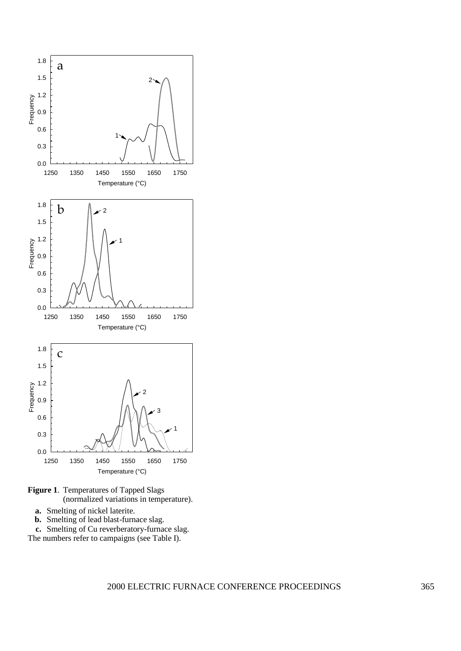

- **Figure 1**. Temperatures of Tapped Slags (normalized variations in temperature).
	- **a.** Smelting of nickel laterite.
	- **b.** Smelting of lead blast-furnace slag.

**c.** Smelting of Cu reverberatory-furnace slag. The numbers refer to campaigns (see Table I).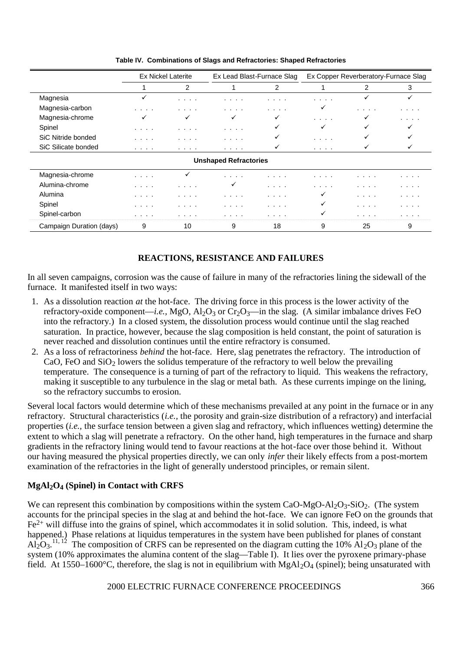|                          | <b>Ex Nickel Laterite</b> |              | Ex Lead Blast-Furnace Slag   |          | Ex Copper Reverberatory-Furnace Slag |    |   |
|--------------------------|---------------------------|--------------|------------------------------|----------|--------------------------------------|----|---|
|                          |                           | 2            |                              | 2        |                                      | 2  | 3 |
| Magnesia                 | ✓                         | .            | .                            | .        | .                                    | ✓  | ✓ |
| Magnesia-carbon          | .                         | .            | .                            | $\cdots$ | ✓                                    | .  | . |
| Magnesia-chrome          | ✓                         | ✓            | ✓                            | ✓        | $\cdots$                             | ✓  | . |
| Spinel                   | .                         | .            | .                            | ✓        | ✓                                    | ✓  | ✓ |
| SiC Nitride bonded       | .                         | .            | .                            | ✓        | $\cdots$                             | ✓  | ✓ |
| SiC Silicate bonded      | .                         | .            | .                            | ✓        | $\cdots$                             | ✓  | ✓ |
|                          |                           |              | <b>Unshaped Refractories</b> |          |                                      |    |   |
| Magnesia-chrome          | .                         | $\checkmark$ | .                            | .        | .                                    | .  | . |
| Alumina-chrome           | .                         | .            | ✓                            | .        | .                                    | .  | . |
| Alumina                  | .                         | .            | .                            | .        | ✓                                    | .  | . |
| Spinel                   | .                         | .            | .                            | .        | ✓                                    | .  | . |
| Spinel-carbon            | .                         |              |                              | .        |                                      | .  | . |
| Campaign Duration (days) | 9                         | 10           | 9                            | 18       | 9                                    | 25 | 9 |

**Table IV. Combinations of Slags and Refractories: Shaped Refractories**

# **REACTIONS, RESISTANCE AND FAILURES**

In all seven campaigns, corrosion was the cause of failure in many of the refractories lining the sidewall of the furnace. It manifested itself in two ways:

- 1. As a dissolution reaction *at* the hot-face. The driving force in this process is the lower activity of the refractory-oxide component—*i.e.*, MgO, Al<sub>2</sub>O<sub>3</sub> or Cr<sub>2</sub>O<sub>3</sub>—in the slag. (A similar imbalance drives FeO into the refractory.) In a closed system, the dissolution process would continue until the slag reached saturation. In practice, however, because the slag composition is held constant, the point of saturation is never reached and dissolution continues until the entire refractory is consumed.
- 2. As a loss of refractoriness *behind* the hot-face. Here, slag penetrates the refractory. The introduction of CaO, FeO and  $SiO<sub>2</sub>$  lowers the solidus temperature of the refractory to well below the prevailing temperature. The consequence is a turning of part of the refractory to liquid. This weakens the refractory, making it susceptible to any turbulence in the slag or metal bath. As these currents impinge on the lining, so the refractory succumbs to erosion.

Several local factors would determine which of these mechanisms prevailed at any point in the furnace or in any refractory. Structural characteristics (*i.e.,* the porosity and grain-size distribution of a refractory) and interfacial properties (*i.e.,* the surface tension between a given slag and refractory, which influences wetting) determine the extent to which a slag will penetrate a refractory. On the other hand, high temperatures in the furnace and sharp gradients in the refractory lining would tend to favour reactions at the hot-face over those behind it. Without our having measured the physical properties directly, we can only *infer* their likely effects from a post-mortem examination of the refractories in the light of generally understood principles, or remain silent.

# **MgAl2O4 (Spinel) in Contact with CRFS**

We can represent this combination by compositions within the system CaO-MgO-Al<sub>2</sub>O<sub>3</sub>-SiO<sub>2</sub>. (The system accounts for the principal species in the slag at and behind the hot-face. We can ignore FeO on the grounds that Fe2+ will diffuse into the grains of spinel, which accommodates it in solid solution. This, indeed, is what happened.) Phase relations at liquidus temperatures in the system have been published for planes of constant  $Al_2O_3$ .<sup>11, 12</sup> The composition of CRFS can be represented on the diagram cutting the 10%  $Al_2O_3$  plane of the system (10% approximates the alumina content of the slag—Table I). It lies over the pyroxene primary-phase field. At 1550–1600°C, therefore, the slag is not in equilibrium with MgAl<sub>2</sub>O<sub>4</sub> (spinel); being unsaturated with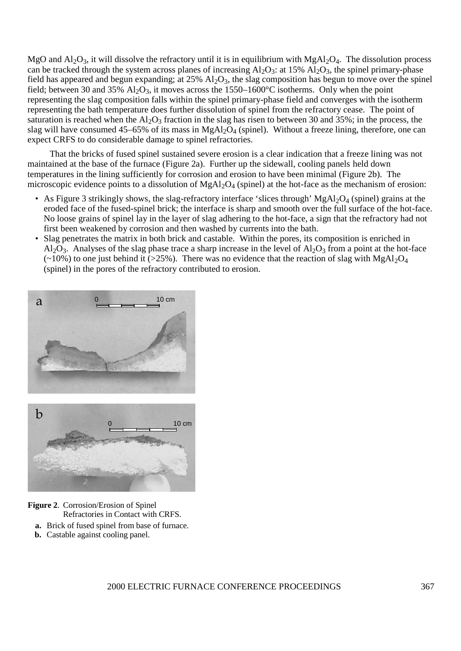MgO and  $Al_2O_3$ , it will dissolve the refractory until it is in equilibrium with MgAl<sub>2</sub>O<sub>4</sub>. The dissolution process can be tracked through the system across planes of increasing  $A_2O_3$ : at 15%  $A_2O_3$ , the spinel primary-phase field has appeared and begun expanding; at  $25\%$  Al<sub>2</sub>O<sub>3</sub>, the slag composition has begun to move over the spinel field; between 30 and 35%  $A<sub>1</sub>O<sub>3</sub>$ , it moves across the 1550–1600°C isotherms. Only when the point representing the slag composition falls within the spinel primary-phase field and converges with the isotherm representing the bath temperature does further dissolution of spinel from the refractory cease. The point of saturation is reached when the  $Al_2O_3$  fraction in the slag has risen to between 30 and 35%; in the process, the slag will have consumed 45–65% of its mass in  $MgAl<sub>2</sub>O<sub>4</sub>$  (spinel). Without a freeze lining, therefore, one can expect CRFS to do considerable damage to spinel refractories.

That the bricks of fused spinel sustained severe erosion is a clear indication that a freeze lining was not maintained at the base of the furnace (Figure 2a). Further up the sidewall, cooling panels held down temperatures in the lining sufficiently for corrosion and erosion to have been minimal (Figure 2b). The microscopic evidence points to a dissolution of  $MgAl<sub>2</sub>O<sub>4</sub>$  (spinel) at the hot-face as the mechanism of erosion:

- As Figure 3 strikingly shows, the slag-refractory interface 'slices through' MgAl<sub>2</sub>O<sub>4</sub> (spinel) grains at the eroded face of the fused-spinel brick; the interface is sharp and smooth over the full surface of the hot-face. No loose grains of spinel lay in the layer of slag adhering to the hot-face, a sign that the refractory had not first been weakened by corrosion and then washed by currents into the bath.
- Slag penetrates the matrix in both brick and castable. Within the pores, its composition is enriched in Al<sub>2</sub>O<sub>3</sub>. Analyses of the slag phase trace a sharp increase in the level of Al<sub>2</sub>O<sub>3</sub> from a point at the hot-face  $(\sim 10\%)$  to one just behind it (>25%). There was no evidence that the reaction of slag with MgAl<sub>2</sub>O<sub>4</sub> (spinel) in the pores of the refractory contributed to erosion.



#### **Figure 2**. Corrosion/Erosion of Spinel Refractories in Contact with CRFS.

- **a.** Brick of fused spinel from base of furnace.
- **b.** Castable against cooling panel.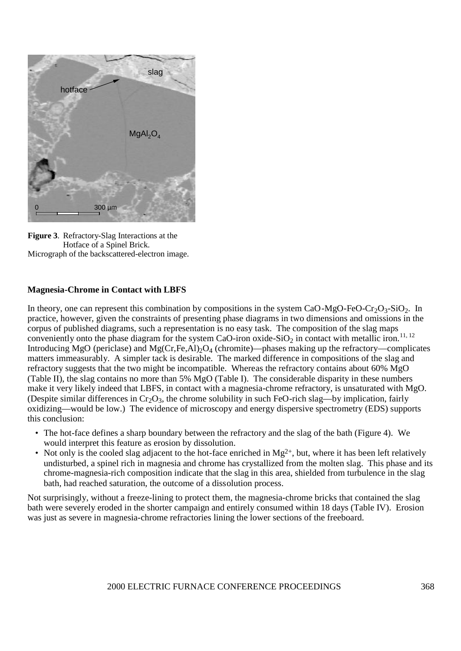

**Figure 3**. Refractory-Slag Interactions at the Hotface of a Spinel Brick. Micrograph of the backscattered-electron image.

### **Magnesia-Chrome in Contact with LBFS**

In theory, one can represent this combination by compositions in the system CaO-MgO-FeO-Cr<sub>2</sub>O<sub>3</sub>-SiO<sub>2</sub>. In practice, however, given the constraints of presenting phase diagrams in two dimensions and omissions in the corpus of published diagrams, such a representation is no easy task. The composition of the slag maps conveniently onto the phase diagram for the system CaO-iron oxide-SiO<sub>2</sub> in contact with metallic iron.<sup>11, 12</sup> Introducing MgO (periclase) and Mg(Cr,Fe,Al)<sub>2</sub>O<sub>4</sub> (chromite)—phases making up the refractory—complicates matters immeasurably. A simpler tack is desirable. The marked difference in compositions of the slag and refractory suggests that the two might be incompatible. Whereas the refractory contains about 60% MgO (Table II), the slag contains no more than 5% MgO (Table I). The considerable disparity in these numbers make it very likely indeed that LBFS, in contact with a magnesia-chrome refractory, is unsaturated with MgO. (Despite similar differences in  $Cr_2O_3$ , the chrome solubility in such FeO-rich slag—by implication, fairly oxidizing—would be low.) The evidence of microscopy and energy dispersive spectrometry (EDS) supports this conclusion:

- The hot-face defines a sharp boundary between the refractory and the slag of the bath (Figure 4). We would interpret this feature as erosion by dissolution.
- Not only is the cooled slag adjacent to the hot-face enriched in  $Mg^{2+}$ , but, where it has been left relatively undisturbed, a spinel rich in magnesia and chrome has crystallized from the molten slag. This phase and its chrome-magnesia-rich composition indicate that the slag in this area, shielded from turbulence in the slag bath, had reached saturation, the outcome of a dissolution process.

Not surprisingly, without a freeze-lining to protect them, the magnesia-chrome bricks that contained the slag bath were severely eroded in the shorter campaign and entirely consumed within 18 days (Table IV). Erosion was just as severe in magnesia-chrome refractories lining the lower sections of the freeboard.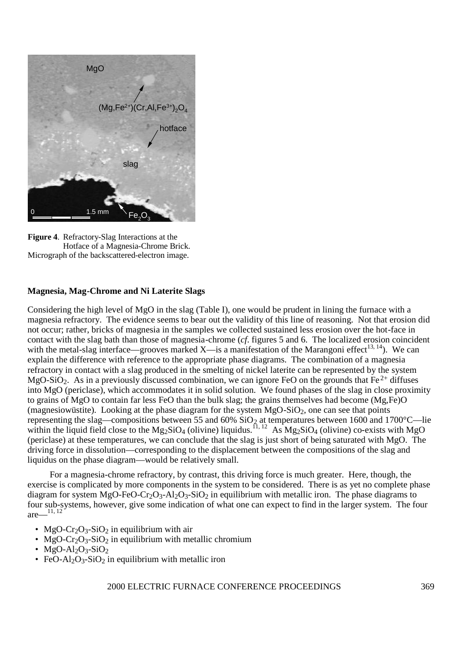

**Figure 4**. Refractory-Slag Interactions at the Hotface of a Magnesia-Chrome Brick. Micrograph of the backscattered-electron image.

#### **Magnesia, Mag-Chrome and Ni Laterite Slags**

Considering the high level of MgO in the slag (Table I), one would be prudent in lining the furnace with a magnesia refractory. The evidence seems to bear out the validity of this line of reasoning. Not that erosion did not occur; rather, bricks of magnesia in the samples we collected sustained less erosion over the hot-face in contact with the slag bath than those of magnesia-chrome (*cf*. figures 5 and 6. The localized erosion coincident with the metal-slag interface—grooves marked X—is a manifestation of the Marangoni effect<sup>13, 14</sup>). We can explain the difference with reference to the appropriate phase diagrams. The combination of a magnesia refractory in contact with a slag produced in the smelting of nickel laterite can be represented by the system MgO-SiO<sub>2</sub>. As in a previously discussed combination, we can ignore FeO on the grounds that Fe<sup>2+</sup> diffuses into MgO (periclase), which accommodates it in solid solution. We found phases of the slag in close proximity to grains of MgO to contain far less FeO than the bulk slag; the grains themselves had become (Mg,Fe)O (magnesiowüstite). Looking at the phase diagram for the system  $MgO-SiO<sub>2</sub>$ , one can see that points representing the slag—compositions between 55 and 60%  $SiO<sub>2</sub>$  at temperatures between 1600 and 1700°C—lie within the liquid field close to the Mg<sub>2</sub>SiO<sub>4</sub> (olivine) liquidus.<sup>11, 12</sup> As Mg<sub>2</sub>SiO<sub>4</sub> (olivine) co-exists with MgO (periclase) at these temperatures, we can conclude that the slag is just short of being saturated with MgO. The driving force in dissolution—corresponding to the displacement between the compositions of the slag and liquidus on the phase diagram—would be relatively small.

For a magnesia-chrome refractory, by contrast, this driving force is much greater. Here, though, the exercise is complicated by more components in the system to be considered. There is as yet no complete phase diagram for system MgO-FeO-Cr<sub>2</sub>O<sub>3</sub>-Al<sub>2</sub>O<sub>3</sub>-SiO<sub>2</sub> in equilibrium with metallic iron. The phase diagrams to four sub-systems, however, give some indication of what one can expect to find in the larger system. The four are $\frac{11, 12}$ 

- MgO-Cr<sub>2</sub>O<sub>3</sub>-SiO<sub>2</sub> in equilibrium with air
- MgO-Cr<sub>2</sub>O<sub>3</sub>-SiO<sub>2</sub> in equilibrium with metallic chromium
- MgO-Al<sub>2</sub>O<sub>3</sub>-SiO<sub>2</sub>
- FeO-Al<sub>2</sub>O<sub>3</sub>-SiO<sub>2</sub> in equilibrium with metallic iron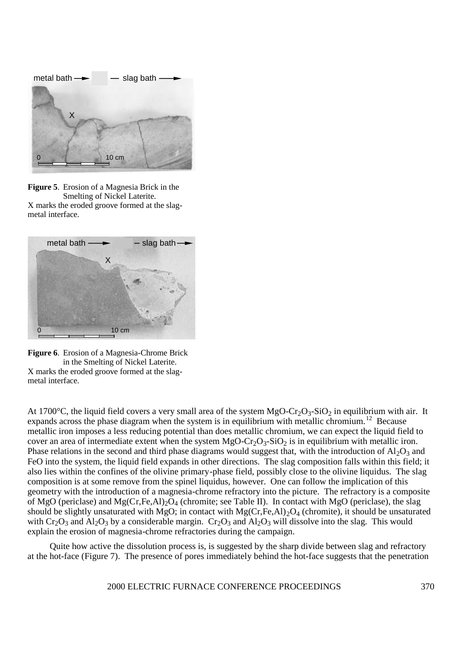

**Figure 5**. Erosion of a Magnesia Brick in the Smelting of Nickel Laterite. X marks the eroded groove formed at the slagmetal interface.



**Figure 6**. Erosion of a Magnesia-Chrome Brick in the Smelting of Nickel Laterite. X marks the eroded groove formed at the slagmetal interface.

At 1700°C, the liquid field covers a very small area of the system  $MgO-Cr<sub>2</sub>O<sub>3</sub>-SiO<sub>2</sub>$  in equilibrium with air. It expands across the phase diagram when the system is in equilibrium with metallic chromium.<sup>12</sup> Because metallic iron imposes a less reducing potential than does metallic chromium, we can expect the liquid field to cover an area of intermediate extent when the system  $MgO-Cr<sub>2</sub>O<sub>3</sub>-SiO<sub>2</sub>$  is in equilibrium with metallic iron. Phase relations in the second and third phase diagrams would suggest that, with the introduction of  $A1_2O_3$  and FeO into the system, the liquid field expands in other directions. The slag composition falls within this field; it also lies within the confines of the olivine primary-phase field, possibly close to the olivine liquidus. The slag composition is at some remove from the spinel liquidus, however. One can follow the implication of this geometry with the introduction of a magnesia-chrome refractory into the picture. The refractory is a composite of MgO (periclase) and  $Mg(Cr,Fe,A1)_2O_4$  (chromite; see Table II). In contact with MgO (periclase), the slag should be slightly unsaturated with MgO; in contact with  $Mg(Cr,Fe,A1)_2O_4$  (chromite), it should be unsaturated with  $Cr_2O_3$  and  $Al_2O_3$  by a considerable margin.  $Cr_2O_3$  and  $Al_2O_3$  will dissolve into the slag. This would explain the erosion of magnesia-chrome refractories during the campaign.

Quite how active the dissolution process is, is suggested by the sharp divide between slag and refractory at the hot-face (Figure 7). The presence of pores immediately behind the hot-face suggests that the penetration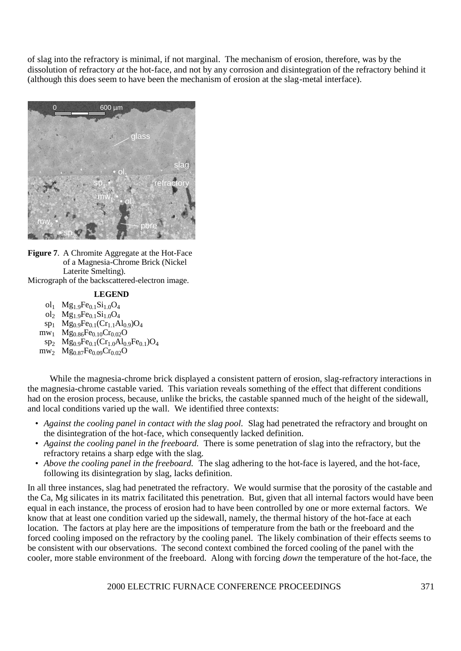of slag into the refractory is minimal, if not marginal. The mechanism of erosion, therefore, was by the dissolution of refractory *at* the hot-face, and not by any corrosion and disintegration of the refractory behind it (although this does seem to have been the mechanism of erosion at the slag-metal interface).



**Figure 7**. A Chromite Aggregate at the Hot-Face of a Magnesia-Chrome Brick (Nickel Laterite Smelting). Micrograph of the backscattered-electron image.

#### **LEGEND**

- ol<sub>1</sub> Mg<sub>1.9</sub>Fe<sub>0.1</sub>Si<sub>1.0</sub>O<sub>4</sub>
- ol<sub>2</sub> Mg<sub>1.9</sub>Fe<sub>0.1</sub>Si<sub>1.0</sub>O<sub>4</sub>
- $sp_1$  Mg<sub>0.9</sub>Fe<sub>0.1</sub>(Cr<sub>1.1</sub>Al<sub>0.9</sub>)O<sub>4</sub>
- $mw_1$  Mg<sub>0.86</sub>Fe<sub>0.10</sub>Cr<sub>0.02</sub>O
- $sp_2$  Mg<sub>0.9</sub>Fe<sub>0.1</sub>(Cr<sub>1.0</sub>Al<sub>0.9</sub>Fe<sub>0.1</sub>)O<sub>4</sub>
- $m_{2}$  Mg<sub>0.87</sub>Fe<sub>0.09</sub>Cr<sub>0.02</sub>O

While the magnesia-chrome brick displayed a consistent pattern of erosion, slag-refractory interactions in the magnesia-chrome castable varied. This variation reveals something of the effect that different conditions had on the erosion process, because, unlike the bricks, the castable spanned much of the height of the sidewall, and local conditions varied up the wall. We identified three contexts:

- *Against the cooling panel in contact with the slag pool.* Slag had penetrated the refractory and brought on the disintegration of the hot-face, which consequently lacked definition.
- *Against the cooling panel in the freeboard.* There is some penetration of slag into the refractory, but the refractory retains a sharp edge with the slag.
- *Above the cooling panel in the freeboard.* The slag adhering to the hot-face is layered, and the hot-face, following its disintegration by slag, lacks definition.

In all three instances, slag had penetrated the refractory. We would surmise that the porosity of the castable and the Ca, Mg silicates in its matrix facilitated this penetration. But, given that all internal factors would have been equal in each instance, the process of erosion had to have been controlled by one or more external factors. We know that at least one condition varied up the sidewall, namely, the thermal history of the hot-face at each location. The factors at play here are the impositions of temperature from the bath or the freeboard and the forced cooling imposed on the refractory by the cooling panel. The likely combination of their effects seems to be consistent with our observations. The second context combined the forced cooling of the panel with the cooler, more stable environment of the freeboard. Along with forcing *down* the temperature of the hot-face, the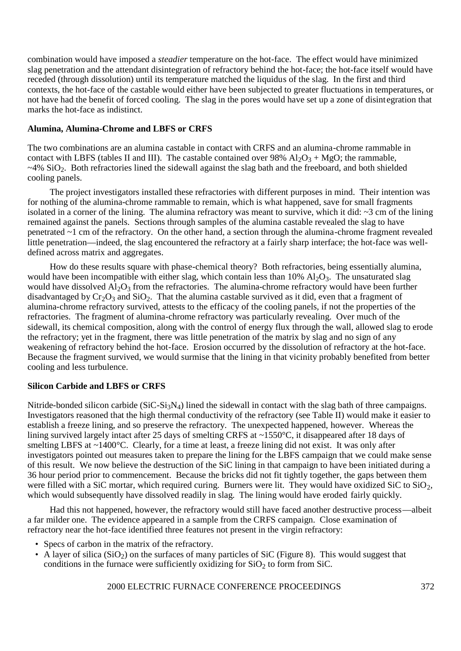combination would have imposed a *steadier* temperature on the hot-face. The effect would have minimized slag penetration and the attendant disintegration of refractory behind the hot-face; the hot-face itself would have receded (through dissolution) until its temperature matched the liquidus of the slag. In the first and third contexts, the hot-face of the castable would either have been subjected to greater fluctuations in temperatures, or not have had the benefit of forced cooling. The slag in the pores would have set up a zone of disintegration that marks the hot-face as indistinct.

### **Alumina, Alumina-Chrome and LBFS or CRFS**

The two combinations are an alumina castable in contact with CRFS and an alumina-chrome rammable in contact with LBFS (tables II and III). The castable contained over 98%  $A1_2O_3 + MgO$ ; the rammable,  $\sim$ 4% SiO<sub>2</sub>. Both refractories lined the sidewall against the slag bath and the freeboard, and both shielded cooling panels.

The project investigators installed these refractories with different purposes in mind. Their intention was for nothing of the alumina-chrome rammable to remain, which is what happened, save for small fragments isolated in a corner of the lining. The alumina refractory was meant to survive, which it did: ~3 cm of the lining remained against the panels. Sections through samples of the alumina castable revealed the slag to have penetrated ~1 cm of the refractory. On the other hand, a section through the alumina-chrome fragment revealed little penetration—indeed, the slag encountered the refractory at a fairly sharp interface; the hot-face was welldefined across matrix and aggregates.

How do these results square with phase-chemical theory? Both refractories, being essentially alumina, would have been incompatible with either slag, which contain less than  $10\%$  Al<sub>2</sub>O<sub>3</sub>. The unsaturated slag would have dissolved  $Al_2O_3$  from the refractories. The alumina-chrome refractory would have been further disadvantaged by  $Cr_2O_3$  and  $SiO_2$ . That the alumina castable survived as it did, even that a fragment of alumina-chrome refractory survived, attests to the efficacy of the cooling panels, if not the properties of the refractories. The fragment of alumina-chrome refractory was particularly revealing. Over much of the sidewall, its chemical composition, along with the control of energy flux through the wall, allowed slag to erode the refractory; yet in the fragment, there was little penetration of the matrix by slag and no sign of any weakening of refractory behind the hot-face. Erosion occurred by the dissolution of refractory at the hot-face. Because the fragment survived, we would surmise that the lining in that vicinity probably benefited from better cooling and less turbulence.

# **Silicon Carbide and LBFS or CRFS**

Nitride-bonded silicon carbide ( $SiC-Si<sub>3</sub>N<sub>4</sub>$ ) lined the sidewall in contact with the slag bath of three campaigns. Investigators reasoned that the high thermal conductivity of the refractory (see Table II) would make it easier to establish a freeze lining, and so preserve the refractory. The unexpected happened, however. Whereas the lining survived largely intact after 25 days of smelting CRFS at ~1550°C, it disappeared after 18 days of smelting LBFS at ~1400°C. Clearly, for a time at least, a freeze lining did not exist. It was only after investigators pointed out measures taken to prepare the lining for the LBFS campaign that we could make sense of this result. We now believe the destruction of the SiC lining in that campaign to have been initiated during a 36 hour period prior to commencement. Because the bricks did not fit tightly together, the gaps between them were filled with a SiC mortar, which required curing. Burners were lit. They would have oxidized SiC to SiO<sub>2</sub>, which would subsequently have dissolved readily in slag. The lining would have eroded fairly quickly.

Had this not happened, however, the refractory would still have faced another destructive process—albeit a far milder one. The evidence appeared in a sample from the CRFS campaign. Close examination of refractory near the hot-face identified three features not present in the virgin refractory:

- Specs of carbon in the matrix of the refractory.
- A layer of silica  $(SiO<sub>2</sub>)$  on the surfaces of many particles of SiC (Figure 8). This would suggest that conditions in the furnace were sufficiently oxidizing for  $SiO<sub>2</sub>$  to form from SiC.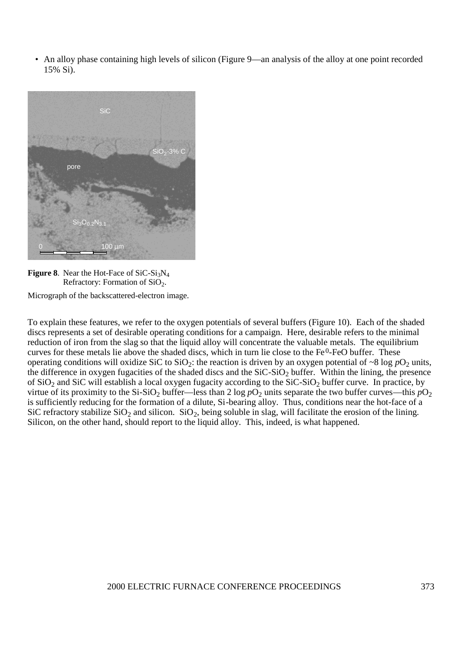• An alloy phase containing high levels of silicon (Figure 9—an analysis of the alloy at one point recorded 15% Si).



**Figure 8.** Near the Hot-Face of  $SiC-Si<sub>3</sub>N<sub>4</sub>$ Refractory: Formation of  $SiO<sub>2</sub>$ .

Micrograph of the backscattered-electron image.

To explain these features, we refer to the oxygen potentials of several buffers (Figure 10). Each of the shaded discs represents a set of desirable operating conditions for a campaign. Here, desirable refers to the minimal reduction of iron from the slag so that the liquid alloy will concentrate the valuable metals. The equilibrium curves for these metals lie above the shaded discs, which in turn lie close to the Fe<sup>0</sup>-FeO buffer. These operating conditions will oxidize SiC to SiO<sub>2</sub>: the reaction is driven by an oxygen potential of ~8 log  $pO_2$  units, the difference in oxygen fugacities of the shaded discs and the  $SiC-SiO<sub>2</sub>$  buffer. Within the lining, the presence of  $SiO<sub>2</sub>$  and  $SiC$  will establish a local oxygen fugacity according to the  $SiC-SiO<sub>2</sub>$  buffer curve. In practice, by virtue of its proximity to the Si-SiO<sub>2</sub> buffer—less than 2 log  $pO_2$  units separate the two buffer curves—this  $pO_2$ is sufficiently reducing for the formation of a dilute, Si-bearing alloy. Thus, conditions near the hot-face of a SiC refractory stabilize  $SiO_2$  and silicon.  $SiO_2$ , being soluble in slag, will facilitate the erosion of the lining. Silicon, on the other hand, should report to the liquid alloy. This, indeed, is what happened.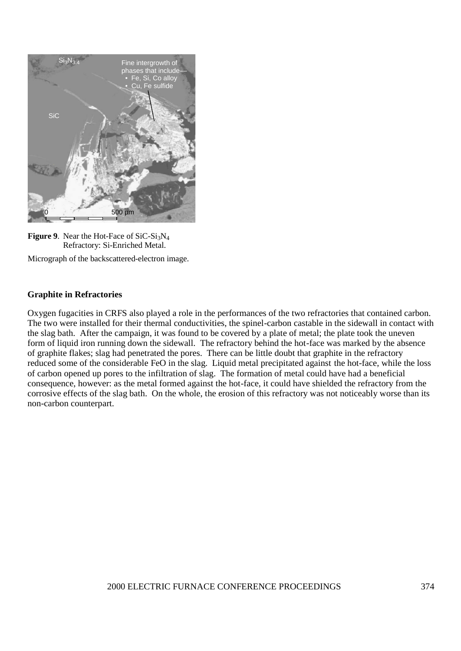



Micrograph of the backscattered-electron image.

### **Graphite in Refractories**

Oxygen fugacities in CRFS also played a role in the performances of the two refractories that contained carbon. The two were installed for their thermal conductivities, the spinel-carbon castable in the sidewall in contact with the slag bath. After the campaign, it was found to be covered by a plate of metal; the plate took the uneven form of liquid iron running down the sidewall. The refractory behind the hot-face was marked by the absence of graphite flakes; slag had penetrated the pores. There can be little doubt that graphite in the refractory reduced some of the considerable FeO in the slag. Liquid metal precipitated against the hot-face, while the loss of carbon opened up pores to the infiltration of slag. The formation of metal could have had a beneficial consequence, however: as the metal formed against the hot-face, it could have shielded the refractory from the corrosive effects of the slag bath. On the whole, the erosion of this refractory was not noticeably worse than its non-carbon counterpart.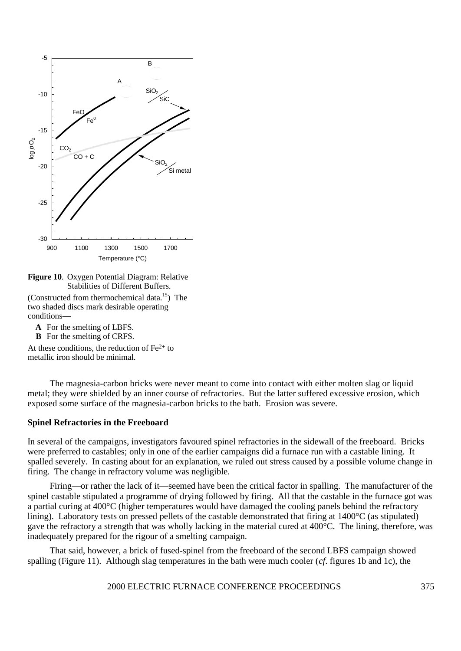

**Figure 10**. Oxygen Potential Diagram: Relative Stabilities of Different Buffers.

(Constructed from thermochemical data.<sup>15</sup>) The two shaded discs mark desirable operating conditions—

- **A** For the smelting of LBFS.
- **B** For the smelting of CRFS.

At these conditions, the reduction of  $Fe<sup>2+</sup>$  to metallic iron should be minimal.

The magnesia-carbon bricks were never meant to come into contact with either molten slag or liquid metal; they were shielded by an inner course of refractories. But the latter suffered excessive erosion, which exposed some surface of the magnesia-carbon bricks to the bath. Erosion was severe.

#### **Spinel Refractories in the Freeboard**

In several of the campaigns, investigators favoured spinel refractories in the sidewall of the freeboard. Bricks were preferred to castables; only in one of the earlier campaigns did a furnace run with a castable lining. It spalled severely. In casting about for an explanation, we ruled out stress caused by a possible volume change in firing. The change in refractory volume was negligible.

Firing—or rather the lack of it—seemed have been the critical factor in spalling. The manufacturer of the spinel castable stipulated a programme of drying followed by firing. All that the castable in the furnace got was a partial curing at 400°C (higher temperatures would have damaged the cooling panels behind the refractory lining). Laboratory tests on pressed pellets of the castable demonstrated that firing at 1400°C (as stipulated) gave the refractory a strength that was wholly lacking in the material cured at 400°C. The lining, therefore, was inadequately prepared for the rigour of a smelting campaign.

That said, however, a brick of fused-spinel from the freeboard of the second LBFS campaign showed spalling (Figure 11). Although slag temperatures in the bath were much cooler (*cf*. figures 1b and 1c), the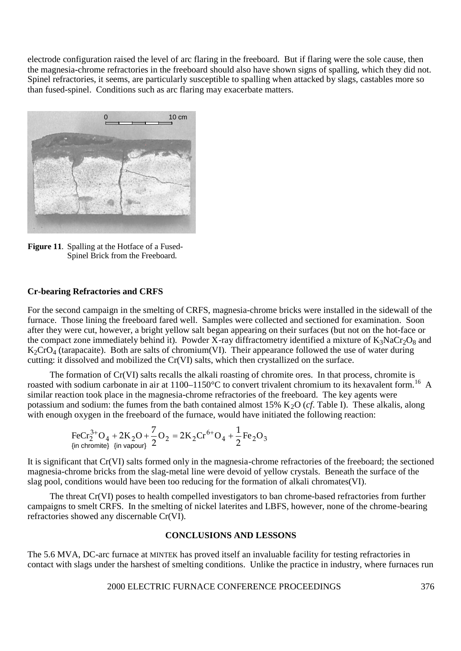electrode configuration raised the level of arc flaring in the freeboard. But if flaring were the sole cause, then the magnesia-chrome refractories in the freeboard should also have shown signs of spalling, which they did not. Spinel refractories, it seems, are particularly susceptible to spalling when attacked by slags, castables more so than fused-spinel. Conditions such as arc flaring may exacerbate matters.



**Figure 11**. Spalling at the Hotface of a Fused-Spinel Brick from the Freeboard.

#### **Cr-bearing Refractories and CRFS**

For the second campaign in the smelting of CRFS, magnesia-chrome bricks were installed in the sidewall of the furnace. Those lining the freeboard fared well. Samples were collected and sectioned for examination. Soon after they were cut, however, a bright yellow salt began appearing on their surfaces (but not on the hot-face or the compact zone immediately behind it). Powder X-ray diffractometry identified a mixture of  $K_3NaCr_2O_8$  and  $K_2$ CrO<sub>4</sub> (tarapacaite). Both are salts of chromium(VI). Their appearance followed the use of water during cutting: it dissolved and mobilized the Cr(VI) salts, which then crystallized on the surface.

The formation of Cr(VI) salts recalls the alkali roasting of chromite ores. In that process, chromite is roasted with sodium carbonate in air at  $1100-1150^{\circ}$ C to convert trivalent chromium to its hexavalent form.<sup>16</sup> A similar reaction took place in the magnesia-chrome refractories of the freeboard. The key agents were potassium and sodium: the fumes from the bath contained almost 15% K<sub>2</sub>O (*cf*. Table I). These alkalis, along with enough oxygen in the freeboard of the furnace, would have initiated the following reaction:

$$
F e C r_2^{3+} O_4 + 2K_2 O + \frac{7}{2} O_2 = 2K_2 C r^{6+} O_4 + \frac{1}{2} F e_2 O_3
$$
  
 {in chromite} {in vapour}

It is significant that Cr(VI) salts formed only in the magnesia-chrome refractories of the freeboard; the sectioned magnesia-chrome bricks from the slag-metal line were devoid of yellow crystals. Beneath the surface of the slag pool, conditions would have been too reducing for the formation of alkali chromates(VI).

The threat Cr(VI) poses to health compelled investigators to ban chrome-based refractories from further campaigns to smelt CRFS. In the smelting of nickel laterites and LBFS, however, none of the chrome-bearing refractories showed any discernable Cr(VI).

#### **CONCLUSIONS AND LESSONS**

The 5.6 MVA, DC-arc furnace at MINTEK has proved itself an invaluable facility for testing refractories in contact with slags under the harshest of smelting conditions. Unlike the practice in industry, where furnaces run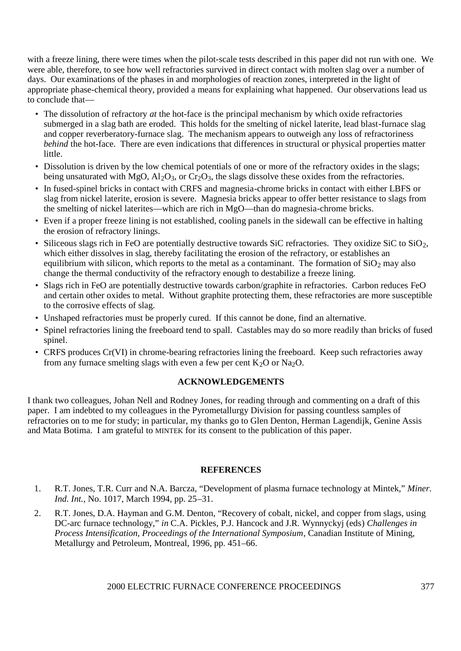with a freeze lining, there were times when the pilot-scale tests described in this paper did not run with one. We were able, therefore, to see how well refractories survived in direct contact with molten slag over a number of days. Our examinations of the phases in and morphologies of reaction zones, interpreted in the light of appropriate phase-chemical theory, provided a means for explaining what happened. Our observations lead us to conclude that—

- The dissolution of refractory *at* the hot-face is the principal mechanism by which oxide refractories submerged in a slag bath are eroded. This holds for the smelting of nickel laterite, lead blast-furnace slag and copper reverberatory-furnace slag. The mechanism appears to outweigh any loss of refractoriness *behind* the hot-face. There are even indications that differences in structural or physical properties matter little.
- Dissolution is driven by the low chemical potentials of one or more of the refractory oxides in the slags; being unsaturated with MgO,  $\text{Al}_2\text{O}_3$ , or Cr<sub>2</sub>O<sub>3</sub>, the slags dissolve these oxides from the refractories.
- In fused-spinel bricks in contact with CRFS and magnesia-chrome bricks in contact with either LBFS or slag from nickel laterite, erosion is severe. Magnesia bricks appear to offer better resistance to slags from the smelting of nickel laterites—which are rich in MgO—than do magnesia-chrome bricks.
- Even if a proper freeze lining is not established, cooling panels in the sidewall can be effective in halting the erosion of refractory linings.
- Siliceous slags rich in FeO are potentially destructive towards SiC refractories. They oxidize SiC to SiO<sub>2</sub>, which either dissolves in slag, thereby facilitating the erosion of the refractory, or establishes an equilibrium with silicon, which reports to the metal as a contaminant. The formation of  $SiO<sub>2</sub>$  may also change the thermal conductivity of the refractory enough to destabilize a freeze lining.
- Slags rich in FeO are potentially destructive towards carbon/graphite in refractories. Carbon reduces FeO and certain other oxides to metal. Without graphite protecting them, these refractories are more susceptible to the corrosive effects of slag.
- Unshaped refractories must be properly cured. If this cannot be done, find an alternative.
- Spinel refractories lining the freeboard tend to spall. Castables may do so more readily than bricks of fused spinel.
- CRFS produces Cr(VI) in chrome-bearing refractories lining the freeboard. Keep such refractories away from any furnace smelting slags with even a few per cent  $K_2O$  or  $Na_2O$ .

# **ACKNOWLEDGEMENTS**

I thank two colleagues, Johan Nell and Rodney Jones, for reading through and commenting on a draft of this paper. I am indebted to my colleagues in the Pyrometallurgy Division for passing countless samples of refractories on to me for study; in particular, my thanks go to Glen Denton, Herman Lagendijk, Genine Assis and Mata Botima. I am grateful to MINTEK for its consent to the publication of this paper.

# **REFERENCES**

- 1. R.T. Jones, T.R. Curr and N.A. Barcza, "Development of plasma furnace technology at Mintek," *Miner. Ind. Int.,* No. 1017, March 1994, pp. 25–31.
- 2. R.T. Jones, D.A. Hayman and G.M. Denton, "Recovery of cobalt, nickel, and copper from slags, using DC-arc furnace technology," *in* C.A. Pickles, P.J. Hancock and J.R. Wynnyckyj (eds) *Challenges in Process Intensification, Proceedings of the International Symposium*, Canadian Institute of Mining, Metallurgy and Petroleum, Montreal, 1996, pp. 451–66.